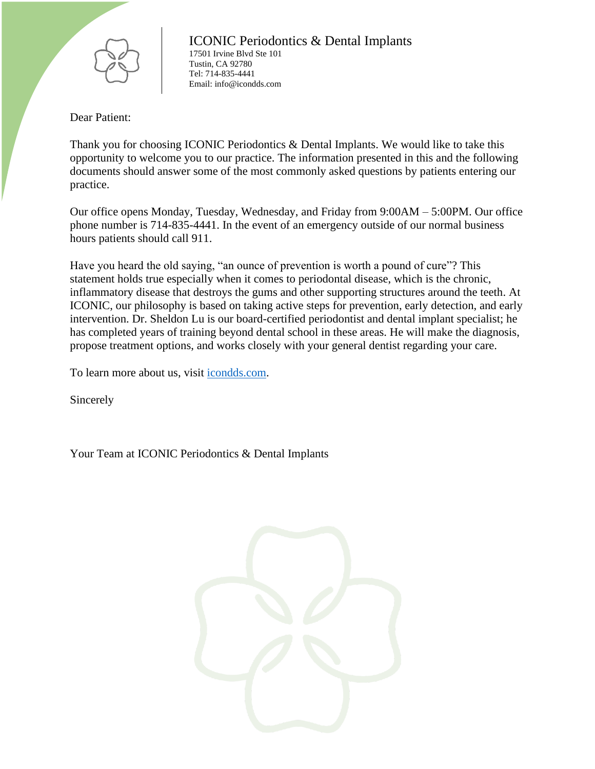

Dear Patient:

Thank you for choosing ICONIC Periodontics & Dental Implants. We would like to take this opportunity to welcome you to our practice. The information presented in this and the following documents should answer some of the most commonly asked questions by patients entering our practice.

Our office opens Monday, Tuesday, Wednesday, and Friday from 9:00AM – 5:00PM. Our office phone number is 714-835-4441. In the event of an emergency outside of our normal business hours patients should call 911.

Have you heard the old saying, "an ounce of prevention is worth a pound of cure"? This statement holds true especially when it comes to periodontal disease, which is the chronic, inflammatory disease that destroys the gums and other supporting structures around the teeth. At ICONIC, our philosophy is based on taking active steps for prevention, early detection, and early intervention. Dr. Sheldon Lu is our board-certified periodontist and dental implant specialist; he has completed years of training beyond dental school in these areas. He will make the diagnosis, propose treatment options, and works closely with your general dentist regarding your care.

To learn more about us, visit *icondds.com*.

Sincerely

Your Team at ICONIC Periodontics & Dental Implants

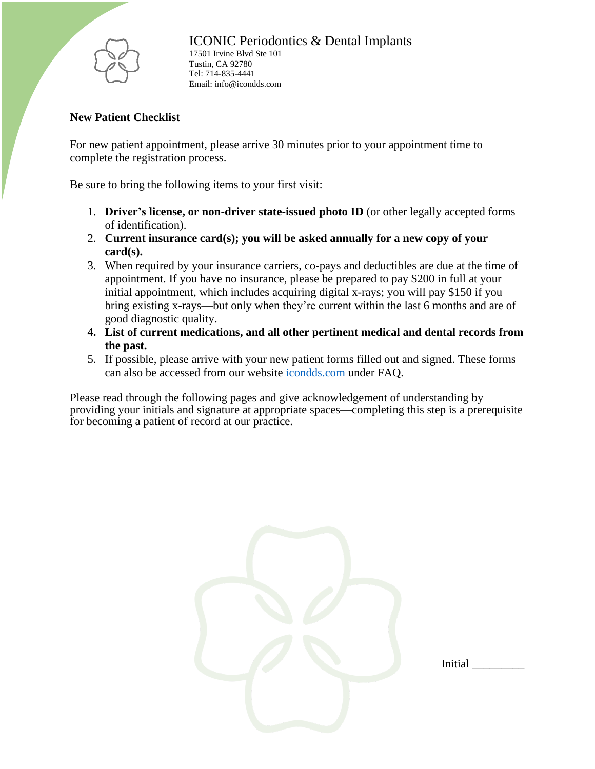

# **New Patient Checklist**

For new patient appointment, please arrive 30 minutes prior to your appointment time to complete the registration process.

Be sure to bring the following items to your first visit:

- 1. **Driver's license, or non-driver state-issued photo ID** (or other legally accepted forms of identification).
- 2. **Current insurance card(s); you will be asked annually for a new copy of your card(s).**
- 3. When required by your insurance carriers, co-pays and deductibles are due at the time of appointment. If you have no insurance, please be prepared to pay \$200 in full at your initial appointment, which includes acquiring digital x-rays; you will pay \$150 if you bring existing x-rays—but only when they're current within the last 6 months and are of good diagnostic quality.
- **4. List of current medications, and all other pertinent medical and dental records from the past.**
- 5. If possible, please arrive with your new patient forms filled out and signed. These forms can also be accessed from our website [icondds.com](https://icondds.com/) under FAQ.

Please read through the following pages and give acknowledgement of understanding by providing your initials and signature at appropriate spaces—completing this step is a prerequisite for becoming a patient of record at our practice.

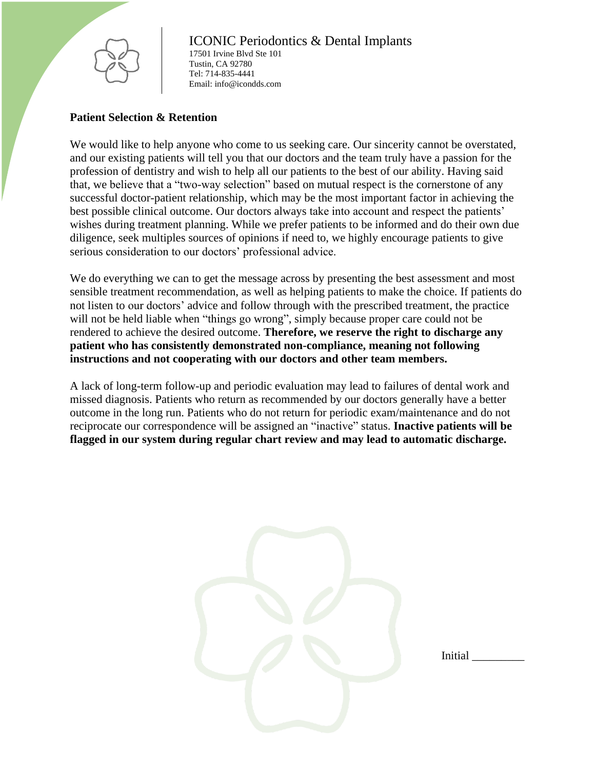

### **Patient Selection & Retention**

We would like to help anyone who come to us seeking care. Our sincerity cannot be overstated, and our existing patients will tell you that our doctors and the team truly have a passion for the profession of dentistry and wish to help all our patients to the best of our ability. Having said that, we believe that a "two-way selection" based on mutual respect is the cornerstone of any successful doctor-patient relationship, which may be the most important factor in achieving the best possible clinical outcome. Our doctors always take into account and respect the patients' wishes during treatment planning. While we prefer patients to be informed and do their own due diligence, seek multiples sources of opinions if need to, we highly encourage patients to give serious consideration to our doctors' professional advice.

We do everything we can to get the message across by presenting the best assessment and most sensible treatment recommendation, as well as helping patients to make the choice. If patients do not listen to our doctors' advice and follow through with the prescribed treatment, the practice will not be held liable when "things go wrong", simply because proper care could not be rendered to achieve the desired outcome. **Therefore, we reserve the right to discharge any patient who has consistently demonstrated non-compliance, meaning not following instructions and not cooperating with our doctors and other team members.**

A lack of long-term follow-up and periodic evaluation may lead to failures of dental work and missed diagnosis. Patients who return as recommended by our doctors generally have a better outcome in the long run. Patients who do not return for periodic exam/maintenance and do not reciprocate our correspondence will be assigned an "inactive" status. **Inactive patients will be flagged in our system during regular chart review and may lead to automatic discharge.**

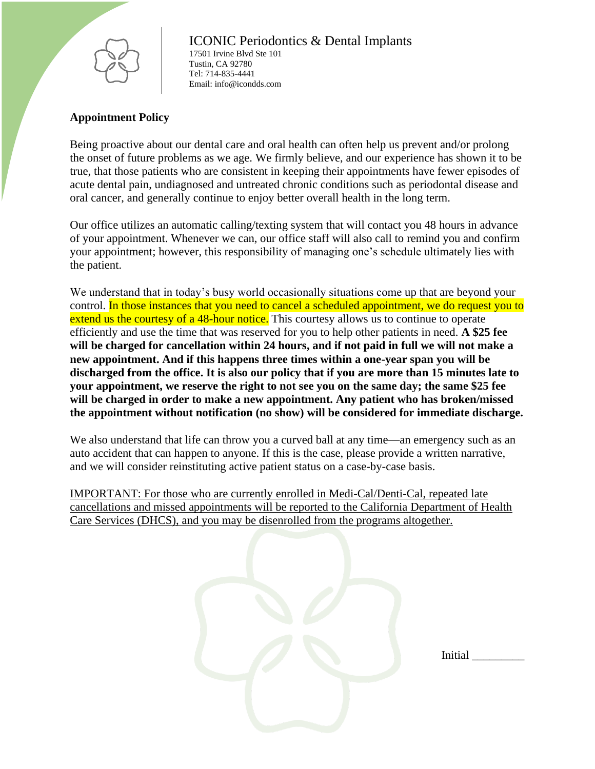

# **Appointment Policy**

Being proactive about our dental care and oral health can often help us prevent and/or prolong the onset of future problems as we age. We firmly believe, and our experience has shown it to be true, that those patients who are consistent in keeping their appointments have fewer episodes of acute dental pain, undiagnosed and untreated chronic conditions such as periodontal disease and oral cancer, and generally continue to enjoy better overall health in the long term.

Our office utilizes an automatic calling/texting system that will contact you 48 hours in advance of your appointment. Whenever we can, our office staff will also call to remind you and confirm your appointment; however, this responsibility of managing one's schedule ultimately lies with the patient.

We understand that in today's busy world occasionally situations come up that are beyond your control. In those instances that you need to cancel a scheduled appointment, we do request you to extend us the courtesy of a 48-hour notice. This courtesy allows us to continue to operate efficiently and use the time that was reserved for you to help other patients in need. **A \$25 fee will be charged for cancellation within 24 hours, and if not paid in full we will not make a new appointment. And if this happens three times within a one-year span you will be discharged from the office. It is also our policy that if you are more than 15 minutes late to your appointment, we reserve the right to not see you on the same day; the same \$25 fee will be charged in order to make a new appointment. Any patient who has broken/missed the appointment without notification (no show) will be considered for immediate discharge.**

We also understand that life can throw you a curved ball at any time—an emergency such as an auto accident that can happen to anyone. If this is the case, please provide a written narrative, and we will consider reinstituting active patient status on a case-by-case basis.

IMPORTANT: For those who are currently enrolled in Medi-Cal/Denti-Cal, repeated late cancellations and missed appointments will be reported to the California Department of Health Care Services (DHCS), and you may be disenrolled from the programs altogether.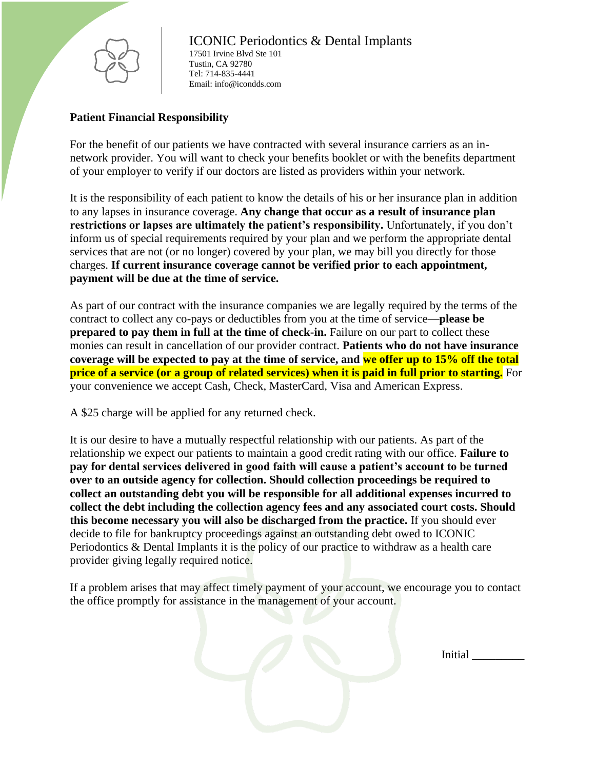

# **Patient Financial Responsibility**

For the benefit of our patients we have contracted with several insurance carriers as an innetwork provider. You will want to check your benefits booklet or with the benefits department of your employer to verify if our doctors are listed as providers within your network.

It is the responsibility of each patient to know the details of his or her insurance plan in addition to any lapses in insurance coverage. **Any change that occur as a result of insurance plan restrictions or lapses are ultimately the patient's responsibility.** Unfortunately, if you don't inform us of special requirements required by your plan and we perform the appropriate dental services that are not (or no longer) covered by your plan, we may bill you directly for those charges. **If current insurance coverage cannot be verified prior to each appointment, payment will be due at the time of service.**

As part of our contract with the insurance companies we are legally required by the terms of the contract to collect any co-pays or deductibles from you at the time of service—**please be prepared to pay them in full at the time of check-in.** Failure on our part to collect these monies can result in cancellation of our provider contract. **Patients who do not have insurance coverage will be expected to pay at the time of service, and we offer up to 15% off the total price of a service (or a group of related services) when it is paid in full prior to starting.** For your convenience we accept Cash, Check, MasterCard, Visa and American Express.

A \$25 charge will be applied for any returned check.

It is our desire to have a mutually respectful relationship with our patients. As part of the relationship we expect our patients to maintain a good credit rating with our office. **Failure to pay for dental services delivered in good faith will cause a patient's account to be turned over to an outside agency for collection. Should collection proceedings be required to collect an outstanding debt you will be responsible for all additional expenses incurred to collect the debt including the collection agency fees and any associated court costs. Should this become necessary you will also be discharged from the practice.** If you should ever decide to file for bankruptcy proceedings against an outstanding debt owed to ICONIC Periodontics & Dental Implants it is the policy of our practice to withdraw as a health care provider giving legally required notice.

If a problem arises that may affect timely payment of your account, we encourage you to contact the office promptly for assistance in the management of your account.